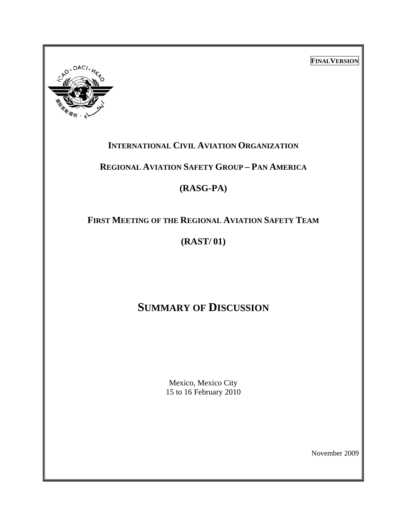**FINALVERSION**



# **INTERNATIONAL CIVIL AVIATION ORGANIZATION**

## **REGIONAL AVIATION SAFETY GROUP – PAN AMERICA**

# **(RASG-PA)**

# **FIRST MEETING OF THE REGIONAL AVIATION SAFETY TEAM**

# **(RAST/ 01)**

# **SUMMARY OF DISCUSSION**

Mexico, Mexico City 15 to 16 February 2010

November 2009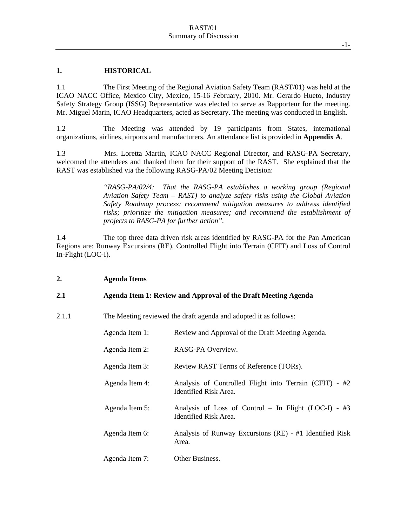#### **1. HISTORICAL**

1.1 The First Meeting of the Regional Aviation Safety Team (RAST/01) was held at the ICAO NACC Office, Mexico City, Mexico, 15-16 February, 2010. Mr. Gerardo Hueto, Industry Safety Strategy Group (ISSG) Representative was elected to serve as Rapporteur for the meeting. Mr. Miguel Marin, ICAO Headquarters, acted as Secretary. The meeting was conducted in English.

1.2 The Meeting was attended by 19 participants from States, international organizations, airlines, airports and manufacturers. An attendance list is provided in **Appendix A**.

1.3 Mrs. Loretta Martin, ICAO NACC Regional Director, and RASG-PA Secretary, welcomed the attendees and thanked them for their support of the RAST. She explained that the RAST was established via the following RASG-PA/02 Meeting Decision:

> *"RASG-PA/02/4: That the RASG-PA establishes a working group (Regional Aviation Safety Team – RAST) to analyze safety risks using the Global Aviation Safety Roadmap process; recommend mitigation measures to address identified risks; prioritize the mitigation measures; and recommend the establishment of projects to RASG-PA for further action".*

1.4 The top three data driven risk areas identified by RASG-PA for the Pan American Regions are: Runway Excursions (RE), Controlled Flight into Terrain (CFIT) and Loss of Control In-Flight (LOC-I).

#### **2. Agenda Items**

#### **2.1 Agenda Item 1: Review and Approval of the Draft Meeting Agenda**

2.1.1 The Meeting reviewed the draft agenda and adopted it as follows:

| Agenda Item 1: | Review and Approval of the Draft Meeting Agenda.                                |
|----------------|---------------------------------------------------------------------------------|
| Agenda Item 2: | RASG-PA Overview.                                                               |
| Agenda Item 3: | Review RAST Terms of Reference (TORs).                                          |
| Agenda Item 4: | Analysis of Controlled Flight into Terrain (CFIT) - #2<br>Identified Risk Area. |
| Agenda Item 5: | Analysis of Loss of Control - In Flight (LOC-I) - #3<br>Identified Risk Area.   |
| Agenda Item 6: | Analysis of Runway Excursions (RE) - #1 Identified Risk<br>Area.                |
| Agenda Item 7: | Other Business.                                                                 |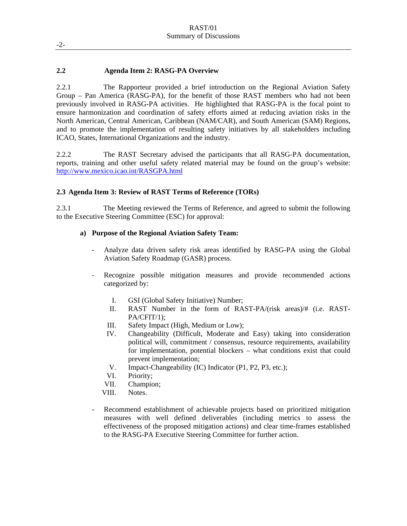#### **2.2 Agenda Item 2: RASG-PA Overview**

2.2.1 The Rapporteur provided a brief introduction on the Regional Aviation Safety Group – Pan America (RASG-PA), for the benefit of those RAST members who had not been previously involved in RASG-PA activities. He highlighted that RASG-PA is the focal point to ensure harmonization and coordination of safety efforts aimed at reducing aviation risks in the North American, Central American, Caribbean (NAM/CAR), and South American (SAM) Regions, and to promote the implementation of resulting safety initiatives by all stakeholders including ICAO, States, International Organizations and the industry.

2.2.2 The RAST Secretary advised the participants that all RASG-PA documentation, reports, training and other useful safety related material may be found on the group's website: http://www.mexico.icao.int/RASGPA.html

#### **2.3 Agenda Item 3: Review of RAST Terms of Reference (TORs)**

2.3.1 The Meeting reviewed the Terms of Reference, and agreed to submit the following to the Executive Steering Committee (ESC) for approval:

#### **a) Purpose of the Regional Aviation Safety Team:**

- Analyze data driven safety risk areas identified by RASG-PA using the Global Aviation Safety Roadmap (GASR) process.
- Recognize possible mitigation measures and provide recommended actions categorized by:
	- I. GSI (Global Safety Initiative) Number;
	- II. RAST Number in the form of RAST-PA/(risk areas)/# (i.e. RAST-PA/CFIT/1);
	- III. Safety Impact (High, Medium or Low);
	- IV. Changeability (Difficult, Moderate and Easy) taking into consideration political will, commitment / consensus, resource requirements, availability for implementation, potential blockers – what conditions exist that could prevent implementation;
	- V. Impact-Changeability (IC) Indicator (P1, P2, P3, etc.);
	- VI. Priority;
	- VII. Champion;
	- VIII. Notes.
- Recommend establishment of achievable projects based on prioritized mitigation measures with well defined deliverables (including metrics to assess the effectiveness of the proposed mitigation actions) and clear time-frames established to the RASG-PA Executive Steering Committee for further action.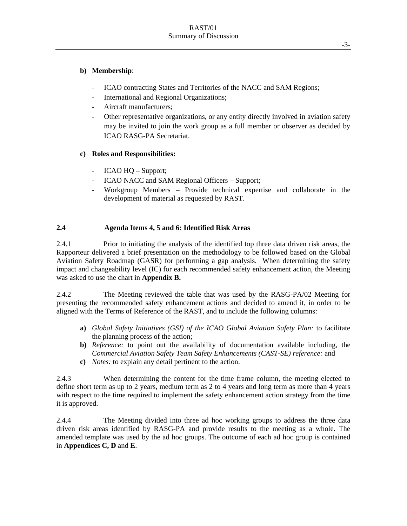#### **b) Membership**:

- ICAO contracting States and Territories of the NACC and SAM Regions;
- International and Regional Organizations;
- Aircraft manufacturers;
- Other representative organizations, or any entity directly involved in aviation safety may be invited to join the work group as a full member or observer as decided by ICAO RASG-PA Secretariat.

#### **c) Roles and Responsibilities:**

- ICAO HQ Support;
- ICAO NACC and SAM Regional Officers Support;
- Workgroup Members Provide technical expertise and collaborate in the development of material as requested by RAST.

#### **2.4 Agenda Items 4, 5 and 6: Identified Risk Areas**

2.4.1 Prior to initiating the analysis of the identified top three data driven risk areas, the Rapporteur delivered a brief presentation on the methodology to be followed based on the Global Aviation Safety Roadmap (GASR) for performing a gap analysis. When determining the safety impact and changeability level (IC) for each recommended safety enhancement action, the Meeting was asked to use the chart in **Appendix B.**

2.4.2 The Meeting reviewed the table that was used by the RASG-PA/02 Meeting for presenting the recommended safety enhancement actions and decided to amend it, in order to be aligned with the Terms of Reference of the RAST, and to include the following columns:

- **a)** *Global Safety Initiatives (GSI) of the ICAO Global Aviation Safety Plan:* to facilitate the planning process of the action;
- **b)** *Reference:* to point out the availability of documentation available including, the *Commercial Aviation Safety Team Safety Enhancements (CAST-SE) reference:* and
- **c)** *Notes:* to explain any detail pertinent to the action.

2.4.3 When determining the content for the time frame column, the meeting elected to define short term as up to 2 years, medium term as 2 to 4 years and long term as more than 4 years with respect to the time required to implement the safety enhancement action strategy from the time it is approved.

2.4.4 The Meeting divided into three ad hoc working groups to address the three data driven risk areas identified by RASG-PA and provide results to the meeting as a whole. The amended template was used by the ad hoc groups. The outcome of each ad hoc group is contained in **Appendices C, D** and **E**.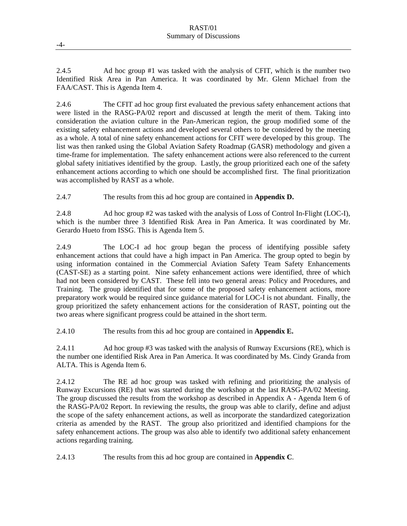2.4.5 Ad hoc group #1 was tasked with the analysis of CFIT, which is the number two Identified Risk Area in Pan America. It was coordinated by Mr. Glenn Michael from the FAA/CAST. This is Agenda Item 4.

2.4.6 The CFIT ad hoc group first evaluated the previous safety enhancement actions that were listed in the RASG-PA/02 report and discussed at length the merit of them. Taking into consideration the aviation culture in the Pan-American region, the group modified some of the existing safety enhancement actions and developed several others to be considered by the meeting as a whole. A total of nine safety enhancement actions for CFIT were developed by this group. The list was then ranked using the Global Aviation Safety Roadmap (GASR) methodology and given a time-frame for implementation. The safety enhancement actions were also referenced to the current global safety initiatives identified by the group. Lastly, the group prioritized each one of the safety enhancement actions according to which one should be accomplished first. The final prioritization was accomplished by RAST as a whole.

2.4.7 The results from this ad hoc group are contained in **Appendix D.** 

2.4.8 Ad hoc group #2 was tasked with the analysis of Loss of Control In-Flight (LOC-I), which is the number three 3 Identified Risk Area in Pan America. It was coordinated by Mr. Gerardo Hueto from ISSG. This is Agenda Item 5.

2.4.9 The LOC-I ad hoc group began the process of identifying possible safety enhancement actions that could have a high impact in Pan America. The group opted to begin by using information contained in the Commercial Aviation Safety Team Safety Enhancements (CAST-SE) as a starting point. Nine safety enhancement actions were identified, three of which had not been considered by CAST. These fell into two general areas: Policy and Procedures, and Training. The group identified that for some of the proposed safety enhancement actions, more preparatory work would be required since guidance material for LOC-I is not abundant. Finally, the group prioritized the safety enhancement actions for the consideration of RAST, pointing out the two areas where significant progress could be attained in the short term.

2.4.10 The results from this ad hoc group are contained in **Appendix E.**

2.4.11 Ad hoc group #3 was tasked with the analysis of Runway Excursions (RE), which is the number one identified Risk Area in Pan America. It was coordinated by Ms. Cindy Granda from ALTA. This is Agenda Item 6.

2.4.12 The RE ad hoc group was tasked with refining and prioritizing the analysis of Runway Excursions (RE) that was started during the workshop at the last RASG-PA/02 Meeting. The group discussed the results from the workshop as described in Appendix A - Agenda Item 6 of the RASG-PA/02 Report. In reviewing the results, the group was able to clarify, define and adjust the scope of the safety enhancement actions, as well as incorporate the standardized categorization criteria as amended by the RAST. The group also prioritized and identified champions for the safety enhancement actions. The group was also able to identify two additional safety enhancement actions regarding training.

2.4.13 The results from this ad hoc group are contained in **Appendix C**.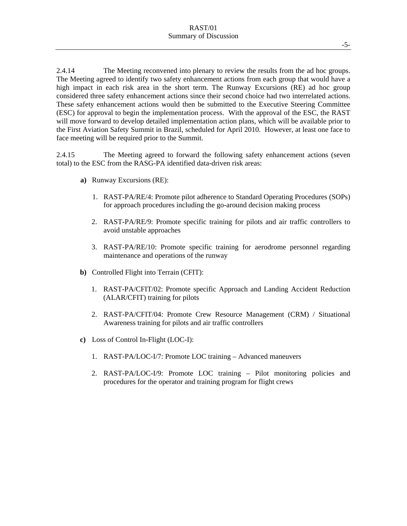2.4.14 The Meeting reconvened into plenary to review the results from the ad hoc groups. The Meeting agreed to identify two safety enhancement actions from each group that would have a high impact in each risk area in the short term. The Runway Excursions (RE) ad hoc group considered three safety enhancement actions since their second choice had two interrelated actions. These safety enhancement actions would then be submitted to the Executive Steering Committee (ESC) for approval to begin the implementation process. With the approval of the ESC, the RAST will move forward to develop detailed implementation action plans, which will be available prior to the First Aviation Safety Summit in Brazil, scheduled for April 2010. However, at least one face to face meeting will be required prior to the Summit.

2.4.15 The Meeting agreed to forward the following safety enhancement actions (seven total) to the ESC from the RASG-PA identified data-driven risk areas:

- **a)** Runway Excursions (RE):
	- 1. RAST-PA/RE/4: Promote pilot adherence to Standard Operating Procedures (SOPs) for approach procedures including the go-around decision making process
	- 2. RAST-PA/RE/9: Promote specific training for pilots and air traffic controllers to avoid unstable approaches
	- 3. RAST-PA/RE/10: Promote specific training for aerodrome personnel regarding maintenance and operations of the runway
- **b)** Controlled Flight into Terrain (CFIT):
	- 1. RAST-PA/CFIT/02: Promote specific Approach and Landing Accident Reduction (ALAR/CFIT) training for pilots
	- 2. RAST-PA/CFIT/04: Promote Crew Resource Management (CRM) / Situational Awareness training for pilots and air traffic controllers
- **c)** Loss of Control In-Flight (LOC-I):
	- 1. RAST-PA/LOC-I/7: Promote LOC training Advanced maneuvers
	- 2. RAST-PA/LOC-I/9: Promote LOC training Pilot monitoring policies and procedures for the operator and training program for flight crews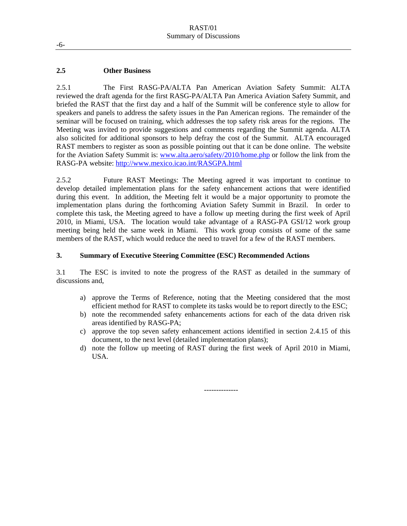#### **2.5 Other Business**

2.5.1 The First RASG-PA/ALTA Pan American Aviation Safety Summit: ALTA reviewed the draft agenda for the first RASG-PA/ALTA Pan America Aviation Safety Summit, and briefed the RAST that the first day and a half of the Summit will be conference style to allow for speakers and panels to address the safety issues in the Pan American regions. The remainder of the seminar will be focused on training, which addresses the top safety risk areas for the regions. The Meeting was invited to provide suggestions and comments regarding the Summit agenda. ALTA also solicited for additional sponsors to help defray the cost of the Summit. ALTA encouraged RAST members to register as soon as possible pointing out that it can be done online. The website for the Aviation Safety Summit is: www.alta.aero/safety/2010/home.php or follow the link from the RASG-PA website: http://www.mexico.icao.int/RASGPA.html

2.5.2 Future RAST Meetings: The Meeting agreed it was important to continue to develop detailed implementation plans for the safety enhancement actions that were identified during this event. In addition, the Meeting felt it would be a major opportunity to promote the implementation plans during the forthcoming Aviation Safety Summit in Brazil. In order to complete this task, the Meeting agreed to have a follow up meeting during the first week of April 2010, in Miami, USA. The location would take advantage of a RASG-PA GSI/12 work group meeting being held the same week in Miami. This work group consists of some of the same members of the RAST, which would reduce the need to travel for a few of the RAST members.

#### **3. Summary of Executive Steering Committee (ESC) Recommended Actions**

3.1 The ESC is invited to note the progress of the RAST as detailed in the summary of discussions and,

- a) approve the Terms of Reference, noting that the Meeting considered that the most efficient method for RAST to complete its tasks would be to report directly to the ESC;
- b) note the recommended safety enhancements actions for each of the data driven risk areas identified by RASG-PA;
- c) approve the top seven safety enhancement actions identified in section 2.4.15 of this document, to the next level (detailed implementation plans);
- d) note the follow up meeting of RAST during the first week of April 2010 in Miami, USA.

--------------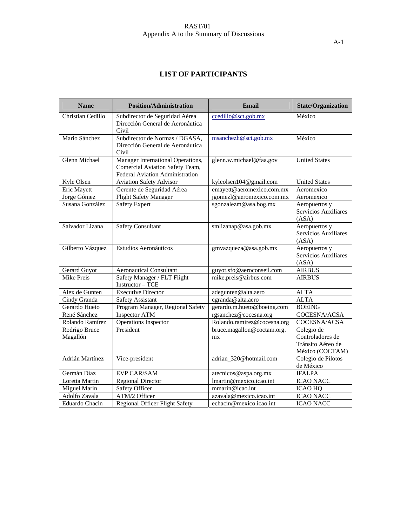#### RAST/01 Appendix A to the Summary of Discussions

### **LIST OF PARTICIPANTS**

| <b>Name</b>               | <b>Position/Administration</b>                                                                          | Email                            | <b>State/Organization</b>                                              |
|---------------------------|---------------------------------------------------------------------------------------------------------|----------------------------------|------------------------------------------------------------------------|
| Christian Cedillo         | Subdirector de Seguridad Aérea<br>Dirección General de Aeronáutica<br>Civil                             | ccedillo@sct.gob.mx              | México                                                                 |
| Mario Sánchez             | Subdirector de Normas / DGASA,<br>Dirección General de Aeronáutica<br>Civil                             | msanchezh@sct.gov.mx             | México                                                                 |
| <b>Glenn Michael</b>      | Manager International Operations,<br>Comercial Aviation Safety Team,<br>Federal Aviation Administration | glenn.w.michael@faa.gov          | <b>United States</b>                                                   |
| Kyle Olsen                | <b>Aviation Safety Advisor</b>                                                                          | kyleolsen104@gmail.com           | <b>United States</b>                                                   |
| <b>Eric Mayett</b>        | Gerente de Seguridad Aérea                                                                              | emayett@aeromexico.com.mx        | Aeromexico                                                             |
| Jorge Gómez               | <b>Flight Safety Manager</b>                                                                            | igomezl@aeromexico.com.mx        | Aeromexico                                                             |
| Susana González           | <b>Safety Expert</b>                                                                                    | sgonzalezm@asa.bog.mx            | Aeropuertos y<br>Servicios Auxiliares<br>(ASA)                         |
| Salvador Lizana           | <b>Safety Consultant</b>                                                                                | smlizanap@asa.gob.mx             | Aeropuertos y<br>Servicios Auxiliares<br>(ASA)                         |
| Gilberto Vázquez          | Estudios Aeronáuticos                                                                                   | gmvazqueza@asa.gob.mx            | Aeropuertos y<br>Servicios Auxiliares<br>(ASA)                         |
| Gerard Guyot              | <b>Aeronautical Consultant</b>                                                                          | guyot.sfo@aeroconseil.com        | <b>AIRBUS</b>                                                          |
| <b>Mike Preis</b>         | Safety Manager / FLT Flight<br><b>Instructor - TCE</b>                                                  | mike.preis@airbus.com            | <b>AIRBUS</b>                                                          |
| Alex de Gunten            | <b>Executive Director</b>                                                                               | adegunten@alta.aero              | <b>ALTA</b>                                                            |
| Cindy Granda              | <b>Safety Assistant</b>                                                                                 | cgranda@alta.aero                | <b>ALTA</b>                                                            |
| Gerardo Hueto             | Program Manager, Regional Safety                                                                        | gerardo.m.hueto@boeing.com       | <b>BOEING</b>                                                          |
| René Sánchez              | <b>Inspector ATM</b>                                                                                    | rgsanchez@cocesna.org            | COCESNA/ACSA                                                           |
| Rolando Ramírez           | Operations Inspector                                                                                    | Rolando.ramirez@cocesna.org      | COCESNA/ACSA                                                           |
| Rodrigo Bruce<br>Magallón | President                                                                                               | bruce.magallon@coctam.org.<br>mx | Colegio de<br>Controladores de<br>Tránsito Aéreo de<br>México (COCTAM) |
| Adrián Martínez           | Vice-president                                                                                          | adrian_320@hotmail.com           | Colegio de Pilotos<br>de México                                        |
| Germán Díaz               | <b>EVP CAR/SAM</b>                                                                                      | atecnicos@aspa.org.mx            | <b>IFALPA</b>                                                          |
| Loretta Martin            | <b>Regional Director</b>                                                                                | lmartin@mexico.icao.int          | <b>ICAO NACC</b>                                                       |
| Miguel Marin              | Safety Officer                                                                                          | mmarin@icao.int                  | <b>ICAO HQ</b>                                                         |
| Adolfo Zavala             | ATM/2 Officer                                                                                           | azavala@mexico.icao.int          | <b>ICAO NACC</b>                                                       |
| Eduardo Chacin            | <b>Regional Officer Flight Safety</b>                                                                   | echacin@mexico.icao.int          | <b>ICAO NACC</b>                                                       |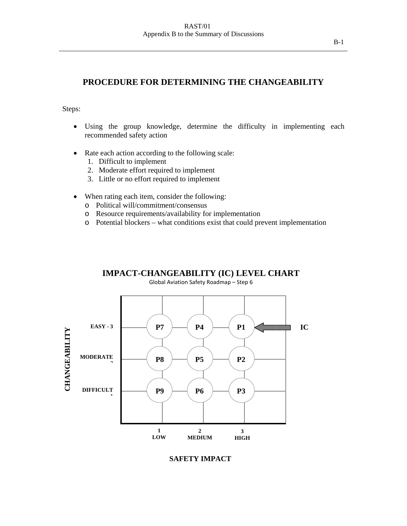#### **PROCEDURE FOR DETERMINING THE CHANGEABILITY**

Steps:

- Using the group knowledge, determine the difficulty in implementing each recommended safety action
- Rate each action according to the following scale:
	- 1. Difficult to implement
	- 2. Moderate effort required to implement
	- 3. Little or no effort required to implement
- When rating each item, consider the following:
	- o Political will/commitment/consensus
	- o Resource requirements/availability for implementation
	- o Potential blockers what conditions exist that could prevent implementation



#### **SAFETY IMPACT**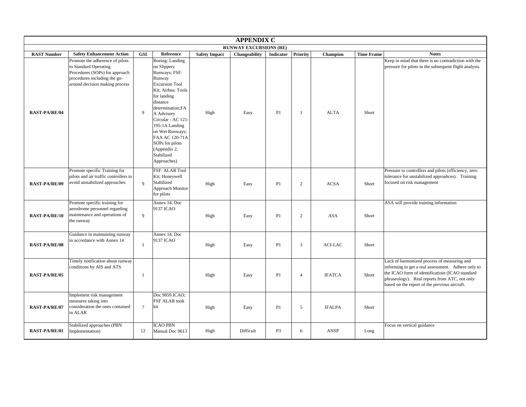| <b>APPENDIX C</b>             |                                                                                                                                                              |                 |                                                                                                                                                                                                                                                                                                                    |                      |               |                |                 |                 |                   |                                                                                                                                                                                                                                                        |
|-------------------------------|--------------------------------------------------------------------------------------------------------------------------------------------------------------|-----------------|--------------------------------------------------------------------------------------------------------------------------------------------------------------------------------------------------------------------------------------------------------------------------------------------------------------------|----------------------|---------------|----------------|-----------------|-----------------|-------------------|--------------------------------------------------------------------------------------------------------------------------------------------------------------------------------------------------------------------------------------------------------|
| <b>RUNWAY EXCURSIONS (RE)</b> |                                                                                                                                                              |                 |                                                                                                                                                                                                                                                                                                                    |                      |               |                |                 |                 |                   |                                                                                                                                                                                                                                                        |
| <b>RAST Number</b>            | <b>Safety Enhancement Action</b>                                                                                                                             | <b>GSI</b>      | Reference                                                                                                                                                                                                                                                                                                          | <b>Safety Impact</b> | Changeability | Indicator      | <b>Priority</b> | <b>Champion</b> | <b>Time Frame</b> | <b>Notes</b>                                                                                                                                                                                                                                           |
| <b>RAST-PA/RE/04</b>          | Promote the adherence of pilots<br>to Standard Operating<br>Procedures (SOPs) for approach<br>procedures including the go-<br>around decision making process | 9               | Boeing: Landing<br>on Slippery<br>Runways; FSF:<br>Runway<br><b>Excursion Tool</b><br>Kit; Airbus: Tools<br>for landing<br>distance<br>determination;FA<br>A Advisory<br>Circular - AC 121-<br>195-1A Landing<br>on Wet Runways;<br>FAA AC 120-71A<br>SOPs for pilots<br>(Appendix 2,<br>Stabilized<br>Approaches) | High                 | Easy          | P1             | -1              | <b>ALTA</b>     | Short             | Keep in mind that there is no contradiction with the<br>pressure for pilots in the subsequent flight analysis.                                                                                                                                         |
| <b>RAST-PA/RE/09</b>          | Promote specific Training for<br>pilots and air traffic controllers to<br>avoid unstabilized approaches                                                      | $\mathbf{Q}$    | FSF: ALAR Tool<br>Kit; Honeywell<br>Stabilized<br>Approach Monitor<br>for pilots                                                                                                                                                                                                                                   | High                 | Easy          | P1             | $\overline{2}$  | <b>ACSA</b>     | Short             | Pressure to controllers and pilots (efficiency, zero<br>tolerance for unstabilized approahces). Training<br>focused on risk management                                                                                                                 |
| <b>RAST-PA/RE/10</b>          | Promote specific training for<br>aerodrome personnel regarding<br>maintenance and operations of<br>the runway                                                | 9               | Annex 14, Doc<br>9137 ICAO                                                                                                                                                                                                                                                                                         | High                 | Easy          | P1             | 2               | <b>ASA</b>      | Short             | ASA will provide training information                                                                                                                                                                                                                  |
| <b>RAST-PA/RE/08</b>          | Guidance in maintaining runway<br>in accordance with Annex 14                                                                                                | $\overline{1}$  | Annex 14, Doc<br>9137 ICAO                                                                                                                                                                                                                                                                                         | High                 | Easy          | P1             | 3               | ACI-LAC         | Short             |                                                                                                                                                                                                                                                        |
| <b>RAST-PA/RE/05</b>          | Timely notification about runway<br>conditions by AIS and ATS                                                                                                | 1               |                                                                                                                                                                                                                                                                                                                    | High                 | Easy          | P1             | $\overline{4}$  | <b>IFATCA</b>   | Short             | Lack of harmonized process of measuring and<br>informing to get a real assessment. Adhere only to<br>the ICAO form of identificatioin (ICAO standard<br>phraseology). Real reports from ATC, not only<br>based on the report of the previous aircraft. |
| <b>RAST-PA/RE/07</b>          | Implement risk management<br>measures taking into<br>consideration the ones contained<br>in ALAR                                                             | $7\overline{ }$ | Doc 9859 ICAO:<br>FSF ALAR took<br>kit                                                                                                                                                                                                                                                                             | High                 | Easy          | P1             | 5               | <b>IFALPA</b>   | Short             |                                                                                                                                                                                                                                                        |
| <b>RAST-PA/RE/01</b>          | Stabilized approaches (PBN<br>Implementation)                                                                                                                | 12              | <b>ICAO PBN</b><br>Manual Doc 9613                                                                                                                                                                                                                                                                                 | High                 | Difficult     | P <sub>3</sub> | 6               | <b>ANSP</b>     | Long              | Focus on vertical guidance                                                                                                                                                                                                                             |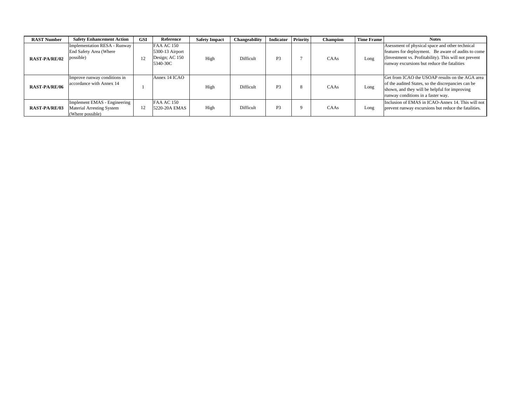| <b>RAST Number</b>   | <b>Safety Enhancement Action</b>                                              | GSI | Reference                                                          | <b>Safety Impact</b> | Changeability | Indicator | Priority | Champion | <b>Time Frame</b> | <b>Notes</b>                                                                                                                                                                                                    |
|----------------------|-------------------------------------------------------------------------------|-----|--------------------------------------------------------------------|----------------------|---------------|-----------|----------|----------|-------------------|-----------------------------------------------------------------------------------------------------------------------------------------------------------------------------------------------------------------|
| <b>RAST-PA/RE/02</b> | Implementation RESA - Runway<br>End Safety Area (Where<br>possible)           | 12  | <b>FAA AC 150</b><br>5300-13 Airport<br>Design; AC 150<br>5340-30C | High                 | Difficult     | <b>P3</b> |          | CAAs     | Long              | As essment of physical space and other technical<br>features for deployment. Be aware of audits to come<br>(Investment vs. Profitability). This will not prevent<br>runway excursions but reduce the fatalities |
| <b>RAST-PA/RE/06</b> | Improve runway conditions in<br>accordance with Annex 14                      |     | Annex 14 ICAO                                                      | High                 | Difficult     | <b>P3</b> | 8        | CAAs     | Long              | Get from ICAO the USOAP results on the AGA area<br>of the audited States, so the discrepancies can be<br>shown, and they will be helpful for improving<br>runway conditions in a faster way.                    |
| <b>RAST-PA/RE/03</b> | Implement EMAS - Engineering<br>Material Arresting System<br>(Where possible) | 12  | <b>FAA AC 150</b><br>5220-20A EMAS                                 | High                 | Difficult     | <b>P3</b> | 9        | CAAs     | Long              | Inclusion of EMAS in ICAO-Annex 14. This will not<br>prevent runway excursions but reduce the fatalities.                                                                                                       |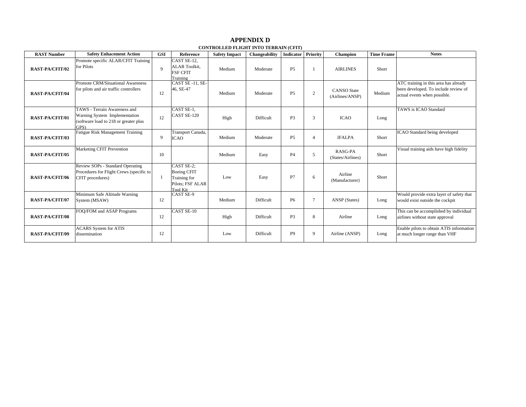#### **RAST Number**Safety Enhacement Action GSI Reference Safety Impact Changeability Indicator Priority Champion Time Frame Notes **RAST-PA/CFIT/02**Promote specific ALAR/CFIT Training for Pilotsв против при в 19 деном при в 9 деном при в 9 деном при в 9 деном при в 9 деном при в 9 деном при в 9 деном пр CAST SE-12, ALAR Toolkit, FSF CFIT Training Medium Moderate P5 1 AIRLINES Short **RAST-PA/CFIT/04**Promote CRM/Situational Awareness for pilots and air traffic controllers 12CAST SE -11, SE-46, SE-47 Medium Moderate P5 2 CANSO State<br>(Airlines/ANSP) Medium ATC training in this area has already been developed. To include review of actual events when possible. **RAST-PA/CFIT/01**TAWS - Terrain Awareness and Warning System Implementation (software load to 218 or greater plus GPS) 12CAST SE-1, CAST SE-120 High Difficult P3 3 ICAO Long TAWS is ICAO Standard**RAST-PA/CFIT/03**Fatigue Risk Management Training 9Transport Canada, ICAO Medium Moderate P5 4 IFALPA Short ICAO Standard being developed **RAST-PA/CFIT/05**Marketing CFIT Prevention 10 Medium Easy P4 5 RASG-PA (States/Airlines) Short Visual training aids have high fidelity **RAST-PA/CFIT/06**Review SOPs - Standard Operating Procedures for Flight Crews (specific to CFIT procedures) 1 CAST SE-2; Boeing CFIT Training for Pilots; FSF ALAR Tool Kit CAST SE-9Low Easy P7 6 Airline Short **RAST-PA/CFIT/07**Minimum Safe Altitude Warning System (MSAW) 2 12 Medium Difficult P6 7 ANSP (States) Long Would provide extra layer of safety that would exist outside the cockpit **RAST-PA/CFIT/08**FOQ/FOM and ASAP Programs 12CAST SE-10 High Difficult P3 8 Airline Long This can be accomplished by individual airlines without state approval **RAST-PA/CFIT/09**ACARS System for ATIS disseminationn 12 | Low Difficult | P9 | 9 | Airline (ANSP) | Long Enable pilots to obtain ATIS information at much longer range than VHF

#### **CONTROLLED FLIGHT INTO TERRAIN (CFIT) APPENDIX D**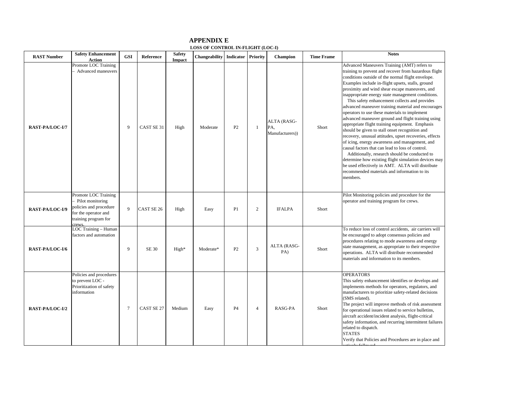#### **APPENDIX E LOSS OF CONTROL IN-FLIGHT (LOC-I)**

| <b>RAST Number</b> | <b>Safety Enhancement</b><br><b>Action</b>                                                                                | <b>GSI</b>     | <b>Reference</b> | <b>Safety</b><br><b>Impact</b> | <b>Changeability</b> Indicator |                | Priority       | <b>Champion</b>                       | <b>Time Frame</b> | <b>Notes</b>                                                                                                                                                                                                                                                                                                                                                                                                                                                                                                                                                                                                                                                                                                                                                                                                                                                                                                                                                                                                                      |
|--------------------|---------------------------------------------------------------------------------------------------------------------------|----------------|------------------|--------------------------------|--------------------------------|----------------|----------------|---------------------------------------|-------------------|-----------------------------------------------------------------------------------------------------------------------------------------------------------------------------------------------------------------------------------------------------------------------------------------------------------------------------------------------------------------------------------------------------------------------------------------------------------------------------------------------------------------------------------------------------------------------------------------------------------------------------------------------------------------------------------------------------------------------------------------------------------------------------------------------------------------------------------------------------------------------------------------------------------------------------------------------------------------------------------------------------------------------------------|
| RAST-PA/LOC-I/7    | Promote LOC Training<br>Advanced maneuvers                                                                                | 9              | CAST SE 31       | High                           | Moderate                       | P2             | 1              | ALTA (RASG-<br>PA,<br>Manufacturers)) | Short             | Advanced Maneuvers Training (AMT) refers to<br>training to prevent and recover from hazardous flight<br>conditions outside of the normal flight envelope.<br>Examples include in-flight upsets, stalls, ground<br>proximity and wind shear escape maneuvers, and<br>inappropriate energy state management conditions.<br>This safety enhancement collects and provides<br>advanced maneuver training material and encourages<br>operators to use these materials to implement<br>advanced maneuver ground and flight training using<br>appropriate flight training equipment. Emphasis<br>should be given to stall onset recognition and<br>recovery, unusual attitudes, upset recoveries, effects<br>of icing, energy awareness and management, and<br>causal factors that can lead to loss of control.<br>Additionally, research should be conducted to<br>determine how existing flight simulation devices may<br>be used effectively in AMT. ALTA will distribute<br>recommended materials and information to its<br>members. |
| RAST-PA/LOC-I/9    | Promote LOC Training<br>Pilot monitoring<br>policies and procedure<br>for the operator and<br>training program for<br>max | 9              | CAST SE 26       | High                           | Easy                           | P <sub>1</sub> | $\overline{c}$ | <b>IFALPA</b>                         | Short             | Pilot Monitoring policies and procedure for the<br>operator and training program for crews.                                                                                                                                                                                                                                                                                                                                                                                                                                                                                                                                                                                                                                                                                                                                                                                                                                                                                                                                       |
| RAST-PA/LOC-I/6    | LOC Training - Human<br>factors and automation                                                                            | 9              | SE 30            | High*                          | Moderate*                      | P2             | 3              | ALTA (RASG-<br>PA)                    | Short             | To reduce loss of control accidents, air carriers will<br>be encouraged to adopt consensus policies and<br>procedures relating to mode awareness and energy<br>state management, as appropriate to their respective<br>operations. ALTA will distribute recommended<br>materials and information to its members.                                                                                                                                                                                                                                                                                                                                                                                                                                                                                                                                                                                                                                                                                                                  |
| RAST-PA/LOC-I/2    | Policies and procedures<br>to prevent LOC -<br>Prioritization of safety<br>information                                    | $\overline{7}$ | CAST SE 27       | Medium                         | Easy                           | P4             | $\overline{4}$ | RASG-PA                               | Short             | <b>OPERATORS</b><br>This safety enhancement identifies or develops and<br>implements methods for operators, regulators, and<br>manufacturers to prioritize safety-related decisions<br>(SMS related).<br>The project will improve methods of risk assessment<br>for operational issues related to service bulletins,<br>aircraft accident/incident analysis, flight-critical<br>safety information, and recurring intermittent failures<br>related to dispatch.<br><b>STATES</b><br>Verify that Policies and Procedures are in place and                                                                                                                                                                                                                                                                                                                                                                                                                                                                                          |